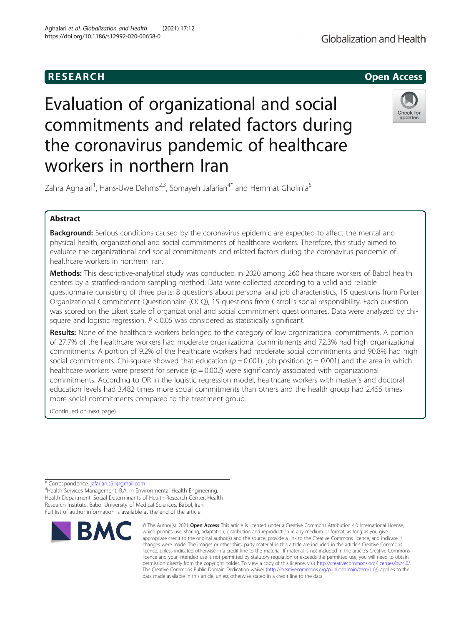

# Evaluation of organizational and social commitments and related factors during the coronavirus pandemic of healthcare workers in northern Iran



Zahra Aghalari<sup>1</sup>, Hans-Uwe Dahms<sup>2,3</sup>, Somayeh Jafarian<sup>4\*</sup> and Hemmat Gholinia<sup>5</sup>

# Abstract

**Background:** Serious conditions caused by the coronavirus epidemic are expected to affect the mental and physical health, organizational and social commitments of healthcare workers. Therefore, this study aimed to evaluate the organizational and social commitments and related factors during the coronavirus pandemic of healthcare workers in northern Iran.

Methods: This descriptive-analytical study was conducted in 2020 among 260 healthcare workers of Babol health centers by a stratified-random sampling method. Data were collected according to a valid and reliable questionnaire consisting of three parts: 8 questions about personal and job characteristics, 15 questions from Porter Organizational Commitment Questionnaire (OCQ), 15 questions from Carroll's social responsibility. Each question was scored on the Likert scale of organizational and social commitment questionnaires. Data were analyzed by chisquare and logistic regression.  $P < 0.05$  was considered as statistically significant.

Results: None of the healthcare workers belonged to the category of low organizational commitments. A portion of 27.7% of the healthcare workers had moderate organizational commitments and 72.3% had high organizational commitments. A portion of 9.2% of the healthcare workers had moderate social commitments and 90.8% had high social commitments. Chi-square showed that education ( $p = 0.001$ ), job position ( $p = 0.001$ ) and the area in which healthcare workers were present for service ( $p = 0.002$ ) were significantly associated with organizational commitments. According to OR in the logistic regression model, healthcare workers with master's and doctoral education levels had 3.482 times more social commitments than others and the health group had 2.455 times more social commitments compared to the treatment group.

(Continued on next page)

<sup>4</sup>Health Services Management, B.A. in Environmental Health Engineering Health Department, Social Determinants of Health Research Center, Health Research Institute, Babol University of Medical Sciences, Babol, Iran Full list of author information is available at the end of the article



<sup>©</sup> The Author(s), 2021 **Open Access** This article is licensed under a Creative Commons Attribution 4.0 International License, which permits use, sharing, adaptation, distribution and reproduction in any medium or format, as long as you give appropriate credit to the original author(s) and the source, provide a link to the Creative Commons licence, and indicate if changes were made. The images or other third party material in this article are included in the article's Creative Commons licence, unless indicated otherwise in a credit line to the material. If material is not included in the article's Creative Commons licence and your intended use is not permitted by statutory regulation or exceeds the permitted use, you will need to obtain permission directly from the copyright holder. To view a copy of this licence, visit [http://creativecommons.org/licenses/by/4.0/.](http://creativecommons.org/licenses/by/4.0/) The Creative Commons Public Domain Dedication waiver [\(http://creativecommons.org/publicdomain/zero/1.0/](http://creativecommons.org/publicdomain/zero/1.0/)) applies to the data made available in this article, unless otherwise stated in a credit line to the data.

<sup>\*</sup> Correspondence: [jafarian.s51@gmail.com](mailto:jafarian.s51@gmail.com) <sup>4</sup>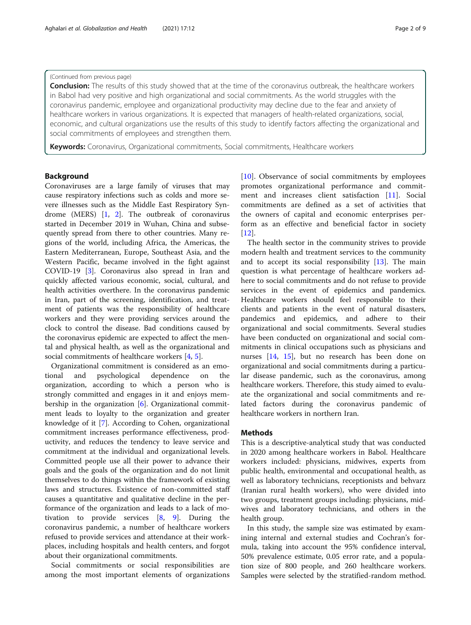# (Continued from previous page)

Conclusion: The results of this study showed that at the time of the coronavirus outbreak, the healthcare workers in Babol had very positive and high organizational and social commitments. As the world struggles with the coronavirus pandemic, employee and organizational productivity may decline due to the fear and anxiety of healthcare workers in various organizations. It is expected that managers of health-related organizations, social, economic, and cultural organizations use the results of this study to identify factors affecting the organizational and social commitments of employees and strengthen them.

Keywords: Coronavirus, Organizational commitments, Social commitments, Healthcare workers

# Background

Coronaviruses are a large family of viruses that may cause respiratory infections such as colds and more severe illnesses such as the Middle East Respiratory Syndrome (MERS) [[1,](#page-7-0) [2](#page-7-0)]. The outbreak of coronavirus started in December 2019 in Wuhan, China and subsequently spread from there to other countries. Many regions of the world, including Africa, the Americas, the Eastern Mediterranean, Europe, Southeast Asia, and the Western Pacific, became involved in the fight against COVID-19 [[3\]](#page-7-0). Coronavirus also spread in Iran and quickly affected various economic, social, cultural, and health activities overthere. In the coronavirus pandemic in Iran, part of the screening, identification, and treatment of patients was the responsibility of healthcare workers and they were providing services around the clock to control the disease. Bad conditions caused by the coronavirus epidemic are expected to affect the mental and physical health, as well as the organizational and social commitments of healthcare workers [\[4](#page-7-0), [5](#page-7-0)].

Organizational commitment is considered as an emotional and psychological dependence on the organization, according to which a person who is strongly committed and engages in it and enjoys membership in the organization [\[6\]](#page-7-0). Organizational commitment leads to loyalty to the organization and greater knowledge of it [\[7](#page-7-0)]. According to Cohen, organizational commitment increases performance effectiveness, productivity, and reduces the tendency to leave service and commitment at the individual and organizational levels. Committed people use all their power to advance their goals and the goals of the organization and do not limit themselves to do things within the framework of existing laws and structures. Existence of non-committed staff causes a quantitative and qualitative decline in the performance of the organization and leads to a lack of motivation to provide services [\[8](#page-8-0), [9](#page-8-0)]. During the coronavirus pandemic, a number of healthcare workers refused to provide services and attendance at their workplaces, including hospitals and health centers, and forgot about their organizational commitments.

Social commitments or social responsibilities are among the most important elements of organizations [[10\]](#page-8-0). Observance of social commitments by employees promotes organizational performance and commitment and increases client satisfaction [[11\]](#page-8-0). Social commitments are defined as a set of activities that the owners of capital and economic enterprises perform as an effective and beneficial factor in society  $[12]$  $[12]$ .

The health sector in the community strives to provide modern health and treatment services to the community and to accept its social responsibility [[13\]](#page-8-0). The main question is what percentage of healthcare workers adhere to social commitments and do not refuse to provide services in the event of epidemics and pandemics. Healthcare workers should feel responsible to their clients and patients in the event of natural disasters, pandemics and epidemics, and adhere to their organizational and social commitments. Several studies have been conducted on organizational and social commitments in clinical occupations such as physicians and nurses [\[14](#page-8-0), [15](#page-8-0)], but no research has been done on organizational and social commitments during a particular disease pandemic, such as the coronavirus, among healthcare workers. Therefore, this study aimed to evaluate the organizational and social commitments and related factors during the coronavirus pandemic of healthcare workers in northern Iran.

# **Methods**

This is a descriptive-analytical study that was conducted in 2020 among healthcare workers in Babol. Healthcare workers included: physicians, midwives, experts from public health, environmental and occupational health, as well as laboratory technicians, receptionists and behvarz (Iranian rural health workers), who were divided into two groups, treatment groups including: physicians, midwives and laboratory technicians, and others in the health group.

In this study, the sample size was estimated by examining internal and external studies and Cochran's formula, taking into account the 95% confidence interval, 50% prevalence estimate, 0.05 error rate, and a population size of 800 people, and 260 healthcare workers. Samples were selected by the stratified-random method.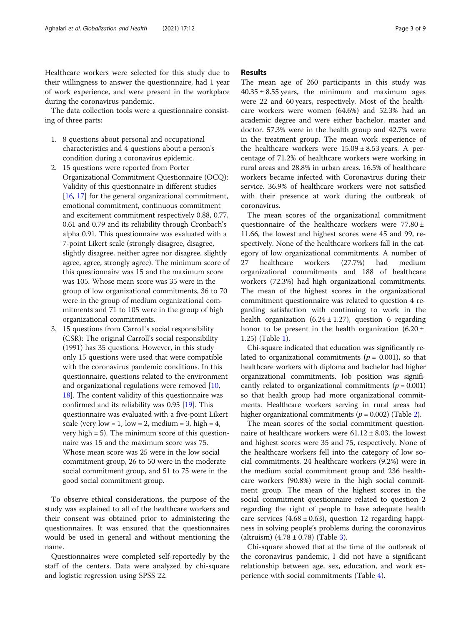Healthcare workers were selected for this study due to their willingness to answer the questionnaire, had 1 year of work experience, and were present in the workplace during the coronavirus pandemic.

The data collection tools were a questionnaire consisting of three parts:

- 1. 8 questions about personal and occupational characteristics and 4 questions about a person's condition during a coronavirus epidemic.
- 2. 15 questions were reported from Porter Organizational Commitment Questionnaire (OCQ): Validity of this questionnaire in different studies [\[16](#page-8-0), [17\]](#page-8-0) for the general organizational commitment, emotional commitment, continuous commitment and excitement commitment respectively 0.88, 0.77, 0.61 and 0.79 and its reliability through Cronbach's alpha 0.91. This questionnaire was evaluated with a 7-point Likert scale (strongly disagree, disagree, slightly disagree, neither agree nor disagree, slightly agree, agree, strongly agree). The minimum score of this questionnaire was 15 and the maximum score was 105. Whose mean score was 35 were in the group of low organizational commitments, 36 to 70 were in the group of medium organizational commitments and 71 to 105 were in the group of high organizational commitments.
- 3. 15 questions from Carroll's social responsibility (CSR): The original Carroll's social responsibility (1991) has 35 questions. However, in this study only 15 questions were used that were compatible with the coronavirus pandemic conditions. In this questionnaire, questions related to the environment and organizational regulations were removed [[10](#page-8-0), [18\]](#page-8-0). The content validity of this questionnaire was confirmed and its reliability was 0.95 [[19](#page-8-0)]. This questionnaire was evaluated with a five-point Likert scale (very low = 1, low = 2, medium = 3, high = 4, very high = 5). The minimum score of this questionnaire was 15 and the maximum score was 75. Whose mean score was 25 were in the low social commitment group, 26 to 50 were in the moderate social commitment group, and 51 to 75 were in the good social commitment group.

To observe ethical considerations, the purpose of the study was explained to all of the healthcare workers and their consent was obtained prior to administering the questionnaires. It was ensured that the questionnaires would be used in general and without mentioning the name.

Questionnaires were completed self-reportedly by the staff of the centers. Data were analyzed by chi-square and logistic regression using SPSS 22.

# Results

The mean age of 260 participants in this study was  $40.35 \pm 8.55$  years, the minimum and maximum ages were 22 and 60 years, respectively. Most of the healthcare workers were women (64.6%) and 52.3% had an academic degree and were either bachelor, master and doctor. 57.3% were in the health group and 42.7% were in the treatment group. The mean work experience of the healthcare workers were  $15.09 \pm 8.53$  years. A percentage of 71.2% of healthcare workers were working in rural areas and 28.8% in urban areas. 16.5% of healthcare workers became infected with Coronavirus during their service. 36.9% of healthcare workers were not satisfied with their presence at work during the outbreak of coronavirus.

The mean scores of the organizational commitment questionnaire of the healthcare workers were  $77.80 \pm$ 11.66, the lowest and highest scores were 45 and 99, respectively. None of the healthcare workers fall in the category of low organizational commitments. A number of 27 healthcare workers (27.7%) had medium organizational commitments and 188 of healthcare workers (72.3%) had high organizational commitments. The mean of the highest scores in the organizational commitment questionnaire was related to question 4 regarding satisfaction with continuing to work in the health organization  $(6.24 \pm 1.27)$ , question 6 regarding honor to be present in the health organization  $(6.20 \pm$ 1.25) (Table [1\)](#page-3-0).

Chi-square indicated that education was significantly related to organizational commitments ( $p = 0.001$ ), so that healthcare workers with diploma and bachelor had higher organizational commitments. Job position was significantly related to organizational commitments ( $p = 0.001$ ) so that health group had more organizational commitments. Healthcare workers serving in rural areas had higher organizational commitments ( $p = 0.002$ ) (Table [2\)](#page-4-0).

The mean scores of the social commitment questionnaire of healthcare workers were  $61.12 \pm 8.03$ , the lowest and highest scores were 35 and 75, respectively. None of the healthcare workers fell into the category of low social commitments. 24 healthcare workers (9.2%) were in the medium social commitment group and 236 healthcare workers (90.8%) were in the high social commitment group. The mean of the highest scores in the social commitment questionnaire related to question 2 regarding the right of people to have adequate health care services  $(4.68 \pm 0.63)$ , question 12 regarding happiness in solving people's problems during the coronavirus (altruism)  $(4.78 \pm 0.78)$  (Table [3](#page-5-0)).

Chi-square showed that at the time of the outbreak of the coronavirus pandemic, I did not have a significant relationship between age, sex, education, and work experience with social commitments (Table [4](#page-6-0)).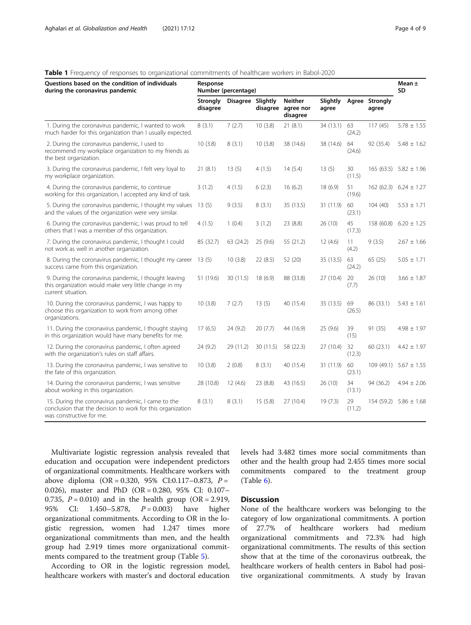# <span id="page-3-0"></span>**Table 1** Frequency of responses to organizational commitments of healthcare workers in Babol-2020

| Questions based on the condition of individuals<br>during the coronavirus pandemic                                                           | Response<br>Number (percentage) |                   |           |                                         |                   |              |                         | Mean $\pm$<br><b>SD</b>     |
|----------------------------------------------------------------------------------------------------------------------------------------------|---------------------------------|-------------------|-----------|-----------------------------------------|-------------------|--------------|-------------------------|-----------------------------|
|                                                                                                                                              | Strongly<br>disagree            | Disagree Slightly | disagree  | <b>Neither</b><br>agree nor<br>disagree | Slightly<br>agree |              | Agree Strongly<br>agree |                             |
| 1. During the coronavirus pandemic, I wanted to work<br>much harder for this organization than I usually expected.                           | 8(3.1)                          | 7(2.7)            | 10(3.8)   | 21(8.1)                                 | 34 (13.1) 63      | (24.2)       | 117(45)                 | $5.78 \pm 1.55$             |
| 2. During the coronavirus pandemic, I used to<br>recommend my workplace organization to my friends as<br>the best organization.              | 10(3.8)                         | 8(3.1)            | 10(3.8)   | 38 (14.6)                               | 38 (14.6)         | 64<br>(24.6) | 92 (35.4)               | $5.48 \pm 1.62$             |
| 3. During the coronavirus pandemic, I felt very loyal to<br>my workplace organization.                                                       | 21(8.1)                         | 13(5)             | 4(1.5)    | 14(5.4)                                 | 13(5)             | 30<br>(11.5) |                         | $165(63.5)$ $5.82 \pm 1.96$ |
| 4. During the coronavirus pandemic, to continue<br>working for this organization, I accepted any kind of task.                               | 3(1.2)                          | 4(1.5)            | 6(2.3)    | 16(6.2)                                 | 18 (6.9)          | 51<br>(19.6) |                         | 162 (62.3) $6.24 \pm 1.27$  |
| 5. During the coronavirus pandemic, I thought my values<br>and the values of the organization were very similar.                             | 13(5)                           | 9(3.5)            | 8(3.1)    | 35 (13.5)                               | 31 (11.9)         | 60<br>(23.1) | 104(40)                 | $5.53 \pm 1.71$             |
| 6. During the coronavirus pandemic, I was proud to tell<br>others that I was a member of this organization.                                  | 4(1.5)                          | 1(0.4)            | 3(1.2)    | 23 (8.8)                                | 26 (10)           | 45<br>(17.3) | 158 (60.8)              | $6.20 \pm 1.25$             |
| 7. During the coronavirus pandemic, I thought I could<br>not work as well in another organization.                                           | 85 (32.7)                       | 63 (24.2)         | 25(9.6)   | 55 (21.2)                               | 12(4.6)           | 11<br>(4.2)  | 9(3.5)                  | $2.67 \pm 1.66$             |
| 8. During the coronavirus pandemic, I thought my career<br>success came from this organization.                                              | 13(5)                           | 10(3.8)           | 22(8.5)   | 52 (20)                                 | 35 (13.5)         | 63<br>(24.2) | 65(25)                  | $5.05 \pm 1.71$             |
| 9. During the coronavirus pandemic, I thought leaving<br>this organization would make very little change in my<br>current situation.         | 51 (19.6)                       | 30 (11.5)         | 18(6.9)   | 88 (33.8)                               | 27 (10.4)         | 20<br>(7.7)  | 26(10)                  | $3.66 \pm 1.87$             |
| 10. During the coronavirus pandemic, I was happy to<br>choose this organization to work from among other<br>organizations.                   | 10(3.8)                         | 7(2.7)            | 13(5)     | 40 (15.4)                               | 35 (13.5)         | 69<br>(26.5) | 86 (33.1)               | $5.43 \pm 1.61$             |
| 11. During the coronavirus pandemic, I thought staying<br>in this organization would have many benefits for me.                              | 17(6.5)                         | 24 (9.2)          | 20(7.7)   | 44 (16.9)                               | 25 (9.6)          | 39<br>(15)   | 91 (35)                 | $4.98 \pm 1.97$             |
| 12. During the coronavirus pandemic, I often agreed<br>with the organization's rules on staff affairs.                                       | 24 (9.2)                        | 29 (11.2)         | 30 (11.5) | 58 (22.3)                               | 27 (10.4)         | 32<br>(12.3) | 60(23.1)                | $4.42 \pm 1.97$             |
| 13. During the coronavirus pandemic, I was sensitive to<br>the fate of this organization.                                                    | 10(3.8)                         | 2(0.8)            | 8(3.1)    | 40 (15.4)                               | 31 (11.9)         | 60<br>(23.1) |                         | 109 (49.1) $5.67 \pm 1.55$  |
| 14. During the coronavirus pandemic, I was sensitive<br>about working in this organization.                                                  | 28 (10.8)                       | 12(4.6)           | 23 (8.8)  | 43 (16.5)                               | 26 (10)           | 34<br>(13.1) | 94 (36.2)               | $4.94 \pm 2.06$             |
| 15. During the coronavirus pandemic, I came to the<br>conclusion that the decision to work for this organization<br>was constructive for me. | 8(3.1)                          | 8(3.1)            | 15(5.8)   | 27 (10.4)                               | 19(7.3)           | 29<br>(11.2) |                         | $154(59.2)$ 5.86 ± 1.68     |

Multivariate logistic regression analysis revealed that education and occupation were independent predictors of organizational commitments. Healthcare workers with above diploma  $(OR = 0.320, 95\% \text{ CI:} 0.117-0.873, P =$ 0.026), master and PhD (OR = 0.280, 95% CI: 0.107– 0.735,  $P = 0.010$ ) and in the health group (OR = 2.919, 95% CI: 1.450–5.878,  $P = 0.003$ ) have higher organizational commitments. According to OR in the logistic regression, women had 1.247 times more organizational commitments than men, and the health group had 2.919 times more organizational commitments compared to the treatment group (Table [5](#page-6-0)).

According to OR in the logistic regression model, healthcare workers with master's and doctoral education levels had 3.482 times more social commitments than other and the health group had 2.455 times more social commitments compared to the treatment group (Table [6\)](#page-7-0).

# **Discussion**

None of the healthcare workers was belonging to the category of low organizational commitments. A portion of 27.7% of healthcare workers had medium organizational commitments and 72.3% had high organizational commitments. The results of this section show that at the time of the coronavirus outbreak, the healthcare workers of health centers in Babol had positive organizational commitments. A study by Iravan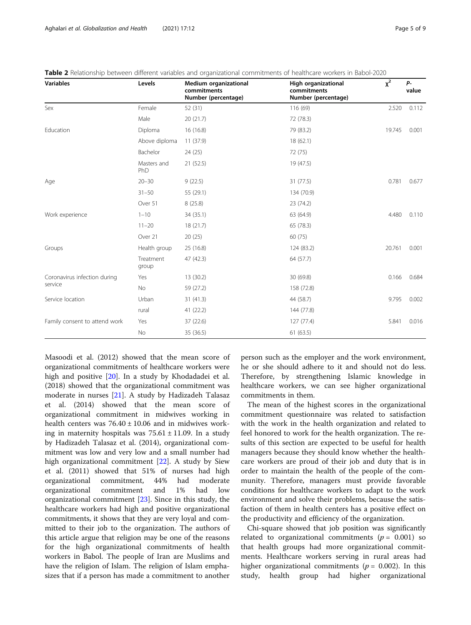| <b>Variables</b>              | Levels             | Medium organizational<br>commitments<br>Number (percentage) | High organizational<br>commitments<br>Number (percentage) | $x^2$  | P-<br>value |
|-------------------------------|--------------------|-------------------------------------------------------------|-----------------------------------------------------------|--------|-------------|
| Sex                           | Female             | 52(31)                                                      | 116 (69)                                                  | 2.520  | 0.112       |
|                               | Male               | 20(21.7)                                                    | 72 (78.3)                                                 |        |             |
| Education                     | Diploma            | 16 (16.8)                                                   | 79 (83.2)                                                 | 19.745 | 0.001       |
|                               | Above diploma      | 11(37.9)                                                    | 18(62.1)                                                  |        |             |
|                               | Bachelor           | 24 (25)                                                     | 72 (75)                                                   |        |             |
|                               | Masters and<br>PhD | 21 (52.5)                                                   | 19 (47.5)                                                 |        |             |
| Age                           | $20 - 30$          | 9(22.5)                                                     | 31 (77.5)                                                 | 0.781  | 0.677       |
|                               | $31 - 50$          | 55 (29.1)                                                   | 134 (70.9)                                                |        |             |
|                               | Over 51            | 8(25.8)                                                     | 23 (74.2)                                                 |        |             |
| Work experience               | $1 - 10$           | 34 (35.1)                                                   | 63 (64.9)                                                 | 4.480  | 0.110       |
|                               | $11 - 20$          | 18(21.7)                                                    | 65 (78.3)                                                 |        |             |
|                               | Over 21            | 20(25)                                                      | 60 (75)                                                   |        |             |
| Groups                        | Health group       | 25 (16.8)                                                   | 124 (83.2)                                                | 20.761 | 0.001       |
|                               | Treatment<br>group | 47 (42.3)                                                   | 64 (57.7)                                                 |        |             |
| Coronavirus infection during  | Yes                | 13 (30.2)                                                   | 30 (69.8)                                                 | 0.166  | 0.684       |
| service                       | <b>No</b>          | 59 (27.2)                                                   | 158 (72.8)                                                |        |             |
| Service location              | Urban              | 31(41.3)                                                    | 44 (58.7)                                                 | 9.795  | 0.002       |
|                               | rural              | 41 (22.2)                                                   | 144 (77.8)                                                |        |             |
| Family consent to attend work | Yes                | 37 (22.6)                                                   | 127 (77.4)                                                | 5.841  | 0.016       |
|                               | No                 | 35 (36.5)                                                   | 61(63.5)                                                  |        |             |

<span id="page-4-0"></span>

| <b>Table 2</b> Relationship between different variables and organizational commitments of healthcare workers in Babol-2020 |  |  |
|----------------------------------------------------------------------------------------------------------------------------|--|--|
|----------------------------------------------------------------------------------------------------------------------------|--|--|

Masoodi et al. (2012) showed that the mean score of organizational commitments of healthcare workers were high and positive [[20](#page-8-0)]. In a study by Khodadadei et al. (2018) showed that the organizational commitment was moderate in nurses [\[21](#page-8-0)]. A study by Hadizadeh Talasaz et al. (2014) showed that the mean score of organizational commitment in midwives working in health centers was  $76.40 \pm 10.06$  and in midwives working in maternity hospitals was  $75.61 \pm 11.09$ . In a study by Hadizadeh Talasaz et al. (2014), organizational commitment was low and very low and a small number had high organizational commitment [\[22\]](#page-8-0). A study by Siew et al. (2011) showed that 51% of nurses had high organizational commitment, 44% had moderate organizational commitment and 1% had low organizational commitment [\[23\]](#page-8-0). Since in this study, the healthcare workers had high and positive organizational commitments, it shows that they are very loyal and committed to their job to the organization. The authors of this article argue that religion may be one of the reasons for the high organizational commitments of health workers in Babol. The people of Iran are Muslims and have the religion of Islam. The religion of Islam emphasizes that if a person has made a commitment to another

person such as the employer and the work environment, he or she should adhere to it and should not do less. Therefore, by strengthening Islamic knowledge in healthcare workers, we can see higher organizational commitments in them.

The mean of the highest scores in the organizational commitment questionnaire was related to satisfaction with the work in the health organization and related to feel honored to work for the health organization. The results of this section are expected to be useful for health managers because they should know whether the healthcare workers are proud of their job and duty that is in order to maintain the health of the people of the community. Therefore, managers must provide favorable conditions for healthcare workers to adapt to the work environment and solve their problems, because the satisfaction of them in health centers has a positive effect on the productivity and efficiency of the organization.

Chi-square showed that job position was significantly related to organizational commitments ( $p = 0.001$ ) so that health groups had more organizational commitments. Healthcare workers serving in rural areas had higher organizational commitments ( $p = 0.002$ ). In this study, health group had higher organizational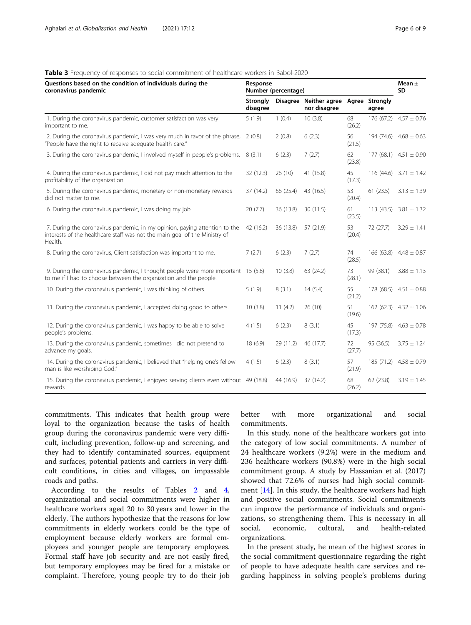# <span id="page-5-0"></span>Table 3 Frequency of responses to social commitment of healthcare workers in Babol-2020

| Questions based on the condition of individuals during the<br>coronavirus pandemic                                                                                  |                             | Response<br>Number (percentage) |                                              |              |           |                            |
|---------------------------------------------------------------------------------------------------------------------------------------------------------------------|-----------------------------|---------------------------------|----------------------------------------------|--------------|-----------|----------------------------|
|                                                                                                                                                                     | <b>Strongly</b><br>disagree | <b>Disagree</b>                 | Neither agree Agree Strongly<br>nor disagree |              | agree     |                            |
| 1. During the coronavirus pandemic, customer satisfaction was very<br>important to me.                                                                              | 5(1.9)                      | 1(0.4)                          | 10(3.8)                                      | 68<br>(26.2) |           | 176 (67.2) $4.57 \pm 0.76$ |
| 2. During the coronavirus pandemic, I was very much in favor of the phrase, 2 (0.8)<br>"People have the right to receive adequate health care."                     |                             | 2(0.8)                          | 6(2.3)                                       | 56<br>(21.5) |           | $194(74.6)$ 4.68 ± 0.63    |
| 3. During the coronavirus pandemic, I involved myself in people's problems. 8 (3.1)                                                                                 |                             | 6(2.3)                          | 7(2.7)                                       | 62<br>(23.8) |           | 177 (68.1) $4.51 \pm 0.90$ |
| 4. During the coronavirus pandemic, I did not pay much attention to the<br>profitability of the organization.                                                       | 32 (12.3)                   | 26(10)                          | 41 (15.8)                                    | 45<br>(17.3) |           | 116 (44.6) $3.71 \pm 1.42$ |
| 5. During the coronavirus pandemic, monetary or non-monetary rewards<br>did not matter to me.                                                                       | 37 (14.2)                   | 66 (25.4)                       | 43 (16.5)                                    | 53<br>(20.4) | 61(23.5)  | $3.13 \pm 1.39$            |
| 6. During the coronavirus pandemic, I was doing my job.                                                                                                             | 20(7.7)                     | 36 (13.8)                       | 30 (11.5)                                    | 61<br>(23.5) |           | 113 (43.5) $3.81 \pm 1.32$ |
| 7. During the coronavirus pandemic, in my opinion, paying attention to the<br>interests of the healthcare staff was not the main goal of the Ministry of<br>Health. | 42 (16.2)                   | 36 (13.8)                       | 57 (21.9)                                    | 53<br>(20.4) | 72(27.7)  | $3.29 \pm 1.41$            |
| 8. During the coronavirus, Client satisfaction was important to me.                                                                                                 | 7(2.7)                      | 6(2.3)                          | 7(2.7)                                       | 74<br>(28.5) |           | 166 (63.8) $4.48 \pm 0.87$ |
| 9. During the coronavirus pandemic, I thought people were more important 15 (5.8)<br>to me if I had to choose between the organization and the people.              |                             | 10(3.8)                         | 63 (24.2)                                    | 73<br>(28.1) | 99 (38.1) | $3.88 \pm 1.13$            |
| 10. During the coronavirus pandemic, I was thinking of others.                                                                                                      | 5(1.9)                      | 8(3.1)                          | 14(5.4)                                      | 55<br>(21.2) |           | 178 (68.5) $4.51 \pm 0.88$ |
| 11. During the coronavirus pandemic, I accepted doing good to others.                                                                                               | 10(3.8)                     | 11(4.2)                         | 26 (10)                                      | 51<br>(19.6) |           | $162(62.3)$ 4.32 ± 1.06    |
| 12. During the coronavirus pandemic, I was happy to be able to solve<br>people's problems.                                                                          | 4(1.5)                      | 6(2.3)                          | 8(3.1)                                       | 45<br>(17.3) |           | 197 (75.8) $4.63 \pm 0.78$ |
| 13. During the coronavirus pandemic, sometimes I did not pretend to<br>advance my goals.                                                                            | 18 (6.9)                    | 29 (11.2)                       | 46 (17.7)                                    | 72<br>(27.7) | 95 (36.5) | $3.75 \pm 1.24$            |
| 14. During the coronavirus pandemic, I believed that "helping one's fellow<br>man is like worshiping God."                                                          | 4(1.5)                      | 6(2.3)                          | 8(3.1)                                       | 57<br>(21.9) |           | 185 (71.2) $4.58 \pm 0.79$ |
| 15. During the coronavirus pandemic, I enjoyed serving clients even without 49 (18.8)<br>rewards                                                                    |                             | 44 (16.9)                       | 37 (14.2)                                    | 68<br>(26.2) | 62 (23.8) | $3.19 \pm 1.45$            |

commitments. This indicates that health group were loyal to the organization because the tasks of health group during the coronavirus pandemic were very difficult, including prevention, follow-up and screening, and they had to identify contaminated sources, equipment and surfaces, potential patients and carriers in very difficult conditions, in cities and villages, on impassable roads and paths.

According to the results of Tables [2](#page-4-0) and [4](#page-6-0), organizational and social commitments were higher in healthcare workers aged 20 to 30 years and lower in the elderly. The authors hypothesize that the reasons for low commitments in elderly workers could be the type of employment because elderly workers are formal employees and younger people are temporary employees. Formal staff have job security and are not easily fired, but temporary employees may be fired for a mistake or complaint. Therefore, young people try to do their job

better with more organizational and social commitments.

In this study, none of the healthcare workers got into the category of low social commitments. A number of 24 healthcare workers (9.2%) were in the medium and 236 healthcare workers (90.8%) were in the high social commitment group. A study by Hassanian et al. (2017) showed that 72.6% of nurses had high social commitment [\[14\]](#page-8-0). In this study, the healthcare workers had high and positive social commitments. Social commitments can improve the performance of individuals and organizations, so strengthening them. This is necessary in all social, economic, cultural, and health-related organizations.

In the present study, he mean of the highest scores in the social commitment questionnaire regarding the right of people to have adequate health care services and regarding happiness in solving people's problems during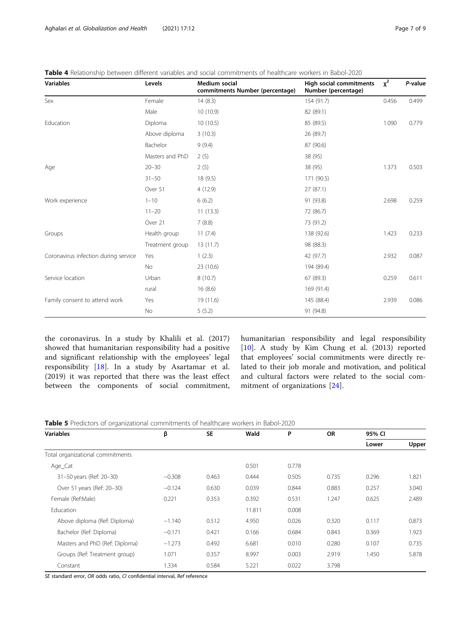| <b>Variables</b>                     | Levels          | <b>Medium social</b><br>commitments Number (percentage) | <b>High social commitments</b><br>Number (percentage) | $x^2$ | P-value |
|--------------------------------------|-----------------|---------------------------------------------------------|-------------------------------------------------------|-------|---------|
| Sex                                  | Female          | 14(8.3)                                                 | 154 (91.7)                                            | 0.456 | 0.499   |
|                                      | Male            | 10 (10.9)                                               | 82 (89.1)                                             |       |         |
| Education                            | Diploma         | 10(10.5)                                                | 85 (89.5)                                             | 1.090 | 0.779   |
|                                      | Above diploma   | 3(10.3)                                                 | 26 (89.7)                                             |       |         |
|                                      | Bachelor        | 9(9.4)                                                  | 87 (90.6)                                             |       |         |
|                                      | Masters and PhD | 2(5)                                                    | 38 (95)                                               |       |         |
| Age                                  | $20 - 30$       | 2(5)                                                    | 38 (95)                                               | 1.373 | 0.503   |
|                                      | $31 - 50$       | 18(9.5)                                                 | 171 (90.5)                                            |       |         |
|                                      | Over 51         | 4(12.9)                                                 | 27(87.1)                                              |       |         |
| Work experience                      | $1 - 10$        | 6(6.2)                                                  | 91 (93.8)                                             | 2.698 | 0.259   |
|                                      | $11 - 20$       | 11(13.3)                                                | 72 (86.7)                                             |       |         |
|                                      | Over 21         | 7(8.8)                                                  | 73 (91.2)                                             |       |         |
| Groups                               | Health group    | 11(7.4)                                                 | 138 (92.6)                                            | 1.423 | 0.233   |
|                                      | Treatment group | 13 (11.7)                                               | 98 (88.3)                                             |       |         |
| Coronavirus infection during service | Yes             | 1(2.3)                                                  | 42 (97.7)                                             | 2.932 | 0.087   |
|                                      | No              | 23 (10.6)                                               | 194 (89.4)                                            |       |         |
| Service location                     | Urban           | 8(10.7)                                                 | 67 (89.3)                                             | 0.259 | 0.611   |
|                                      | rural           | 16(8.6)                                                 | 169 (91.4)                                            |       |         |
| Family consent to attend work        | Yes             | 19 (11.6)                                               | 145 (88.4)                                            | 2.939 | 0.086   |
|                                      | No              | 5(5.2)                                                  | 91 (94.8)                                             |       |         |

<span id="page-6-0"></span>Table 4 Relationship between different variables and social commitments of healthcare workers in Babol-2020

the coronavirus. In a study by Khalili et al. (2017) showed that humanitarian responsibility had a positive and significant relationship with the employees' legal responsibility [\[18](#page-8-0)]. In a study by Asartamar et al. (2019) it was reported that there was the least effect between the components of social commitment, humanitarian responsibility and legal responsibility [[10\]](#page-8-0). A study by Kim Chung et al. (2013) reported that employees' social commitments were directly related to their job morale and motivation, and political and cultural factors were related to the social commitment of organizations [\[24](#page-8-0)].

| <b>Table 5</b> Predictors of organizational commitments of healthcare workers in Babol-2020 |  |  |  |  |
|---------------------------------------------------------------------------------------------|--|--|--|--|
|---------------------------------------------------------------------------------------------|--|--|--|--|

| <b>Variables</b>                 | <b>SE</b><br>β | Wald  | P      | <b>OR</b> | 95% CI |       |       |
|----------------------------------|----------------|-------|--------|-----------|--------|-------|-------|
|                                  |                |       |        |           |        | Lower | Upper |
| Total organizational commitments |                |       |        |           |        |       |       |
| Age_Cat                          |                |       | 0.501  | 0.778     |        |       |       |
| 31-50 years (Ref: 20-30)         | $-0.308$       | 0.463 | 0.444  | 0.505     | 0.735  | 0.296 | 1.821 |
| Over 51 years (Ref: 20-30)       | $-0.124$       | 0.630 | 0.039  | 0.844     | 0.883  | 0.257 | 3.040 |
| Female (Ref:Male)                | 0.221          | 0.353 | 0.392  | 0.531     | 1.247  | 0.625 | 2.489 |
| Education                        |                |       | 11.811 | 0.008     |        |       |       |
| Above diploma (Ref: Diploma)     | $-1.140$       | 0.512 | 4.950  | 0.026     | 0.320  | 0.117 | 0.873 |
| Bachelor (Ref: Diploma)          | $-0.171$       | 0.421 | 0.166  | 0.684     | 0.843  | 0.369 | 1.923 |
| Masters and PhD (Ref: Diploma)   | $-1.273$       | 0.492 | 6.681  | 0.010     | 0.280  | 0.107 | 0.735 |
| Groups (Ref: Treatment group)    | 1.071          | 0.357 | 8.997  | 0.003     | 2.919  | 1.450 | 5.878 |
| Constant                         | 1.334          | 0.584 | 5.221  | 0.022     | 3.798  |       |       |

SE standard error, OR odds ratio, CI confidential interval, Ref reference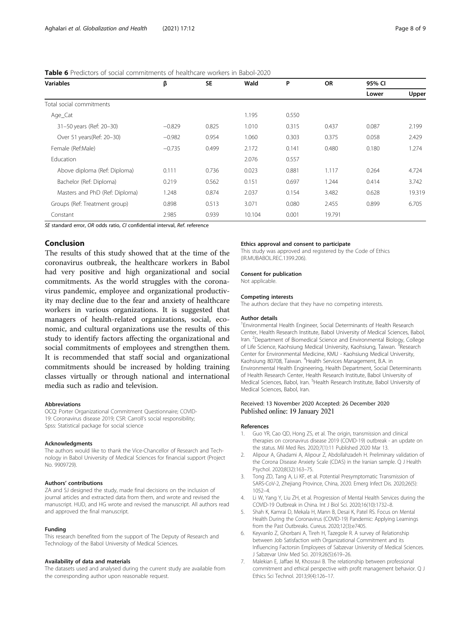| <b>Variables</b>               | β        | <b>SE</b> | Wald   | P     | <b>OR</b> | 95% CI |        |
|--------------------------------|----------|-----------|--------|-------|-----------|--------|--------|
|                                |          |           |        |       |           | Lower  | Upper  |
| Total social commitments       |          |           |        |       |           |        |        |
| Age_Cat                        |          |           | 1.195  | 0.550 |           |        |        |
| 31-50 years (Ref: 20-30)       | $-0.829$ | 0.825     | 1.010  | 0.315 | 0.437     | 0.087  | 2.199  |
| Over 51 years(Ref: 20-30)      | $-0.982$ | 0.954     | 1.060  | 0.303 | 0.375     | 0.058  | 2.429  |
| Female (Ref:Male)              | $-0.735$ | 0.499     | 2.172  | 0.141 | 0.480     | 0.180  | 1.274  |
| Education                      |          |           | 2.076  | 0.557 |           |        |        |
| Above diploma (Ref: Diploma)   | 0.111    | 0.736     | 0.023  | 0.881 | 1.117     | 0.264  | 4.724  |
| Bachelor (Ref: Diploma)        | 0.219    | 0.562     | 0.151  | 0.697 | 1.244     | 0.414  | 3.742  |
| Masters and PhD (Ref: Diploma) | 1.248    | 0.874     | 2.037  | 0.154 | 3.482     | 0.628  | 19.319 |
| Groups (Ref: Treatment group)  | 0.898    | 0.513     | 3.071  | 0.080 | 2.455     | 0.899  | 6.705  |
| Constant                       | 2.985    | 0.939     | 10.104 | 0.001 | 19.791    |        |        |

# <span id="page-7-0"></span>Table 6 Predictors of social commitments of healthcare workers in Babol-2020

SE standard error, OR odds ratio, CI confidential interval, Ref. reference

# Conclusion

The results of this study showed that at the time of the coronavirus outbreak, the healthcare workers in Babol had very positive and high organizational and social commitments. As the world struggles with the coronavirus pandemic, employee and organizational productivity may decline due to the fear and anxiety of healthcare workers in various organizations. It is suggested that managers of health-related organizations, social, economic, and cultural organizations use the results of this study to identify factors affecting the organizational and social commitments of employees and strengthen them. It is recommended that staff social and organizational commitments should be increased by holding training classes virtually or through national and international media such as radio and television.

# Abbreviations

OCQ: Porter Organizational Commitment Questionnaire; COVID-19: Coronavirus disease 2019; CSR: Carroll's social responsibility; Spss: Statistical package for social science

#### Acknowledgments

The authors would like to thank the Vice-Chancellor of Research and Technology in Babol University of Medical Sciences for financial support (Project No. 9909729).

#### Authors' contributions

ZA and SJ designed the study, made final decisions on the inclusion of journal articles and extracted data from them, and wrote and revised the manuscript. HUD, and HG wrote and revised the manuscript. All authors read and approved the final manuscript.

#### Funding

This research benefited from the support of The Deputy of Research and Technology of the Babol University of Medical Sciences.

#### Availability of data and materials

The datasets used and analysed during the current study are available from the corresponding author upon reasonable request.

#### Ethics approval and consent to participate

This study was approved and registered by the Code of Ethics (IR.MUBABOL.REC.1399.206).

#### Consent for publication

Not applicable.

### Competing interests

The authors declare that they have no competing interests.

#### Author details

<sup>1</sup> Environmental Health Engineer, Social Determinants of Health Research Center, Health Research Institute, Babol University of Medical Sciences, Babol, Iran. <sup>2</sup>Department of Biomedical Science and Environmental Biology, College of Life Science, Kaohsiung Medical University, Kaohsiung, Taiwan. <sup>3</sup>Research Center for Environmental Medicine, KMU - Kaohsiung Medical University, Kaohsiung 80708, Taiwan. <sup>4</sup>Health Services Management, B.A. in Environmental Health Engineering, Health Department, Social Determinants of Health Research Center, Health Research Institute, Babol University of Medical Sciences, Babol, Iran. <sup>5</sup> Health Research Institute, Babol University of Medical Sciences, Babol, Iran.

# Received: 13 November 2020 Accepted: 26 December 2020 Published online: 19 January 2021

#### References

- 1. Guo YR, Cao QD, Hong ZS, et al. The origin, transmission and clinical therapies on coronavirus disease 2019 (COVID-19) outbreak - an update on the status. Mil Med Res. 2020;7(1):11 Published 2020 Mar 13.
- 2. Alipour A, Ghadami A, Alipour Z, Abdollahzadeh H. Preliminary validation of the Corona Disease Anxiety Scale (CDAS) in the Iranian sample. Q J Health Psychol. 2020;8(32):163–75.
- 3. Tong ZD, Tang A, Li KF, et al. Potential Presymptomatic Transmission of SARS-CoV-2, Zhejiang Province, China, 2020. Emerg Infect Dis. 2020;26(5): 1052–4.
- 4. Li W, Yang Y, Liu ZH, et al. Progression of Mental Health Services during the COVID-19 Outbreak in China. Int J Biol Sci. 2020;16(10):1732–8.
- 5. Shah K, Kamrai D, Mekala H, Mann B, Desai K, Patel RS. Focus on Mental Health During the Coronavirus (COVID-19) Pandemic: Applying Learnings from the Past Outbreaks. Cureus. 2020;12(3):e7405.
- 6. Keyvanlo Z, Ghorbani A, Tireh H, Tazegole R. A survey of Relationship between Job Satisfaction with Organizational Commitment and its Influencing Factorsin Employees of Sabzevar University of Medical Sciences. J Sabzevar Univ Med Sci. 2019;26(5):619–26.
- 7. Malekian E, Jaffaei M, Khosravi B. The relationship between professional commitment and ethical perspective with profit management behavior. Q J Ethics Sci Technol. 2013;9(4):126–17.